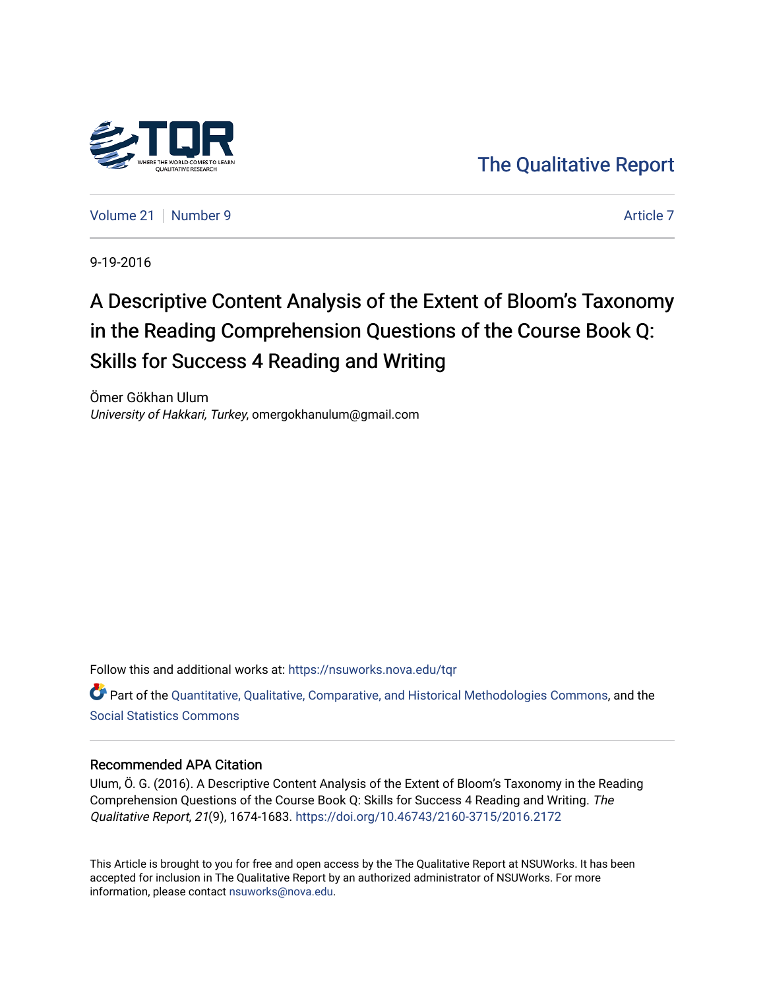

[The Qualitative Report](https://nsuworks.nova.edu/tqr) 

[Volume 21](https://nsuworks.nova.edu/tqr/vol21) | [Number 9](https://nsuworks.nova.edu/tqr/vol21/iss9) [Article 7](https://nsuworks.nova.edu/tqr/vol21/iss9/7) Article 7 Article 7 Article 7 Article 7 Article 7 Article 7 Article 7 Article 7

9-19-2016

# A Descriptive Content Analysis of the Extent of Bloom's Taxonomy in the Reading Comprehension Questions of the Course Book Q: Skills for Success 4 Reading and Writing

Ömer Gökhan Ulum University of Hakkari, Turkey, omergokhanulum@gmail.com

Follow this and additional works at: [https://nsuworks.nova.edu/tqr](https://nsuworks.nova.edu/tqr?utm_source=nsuworks.nova.edu%2Ftqr%2Fvol21%2Fiss9%2F7&utm_medium=PDF&utm_campaign=PDFCoverPages) 

Part of the [Quantitative, Qualitative, Comparative, and Historical Methodologies Commons,](http://network.bepress.com/hgg/discipline/423?utm_source=nsuworks.nova.edu%2Ftqr%2Fvol21%2Fiss9%2F7&utm_medium=PDF&utm_campaign=PDFCoverPages) and the [Social Statistics Commons](http://network.bepress.com/hgg/discipline/1275?utm_source=nsuworks.nova.edu%2Ftqr%2Fvol21%2Fiss9%2F7&utm_medium=PDF&utm_campaign=PDFCoverPages) 

# Recommended APA Citation

Ulum, Ö. G. (2016). A Descriptive Content Analysis of the Extent of Bloom's Taxonomy in the Reading Comprehension Questions of the Course Book Q: Skills for Success 4 Reading and Writing. The Qualitative Report, 21(9), 1674-1683. <https://doi.org/10.46743/2160-3715/2016.2172>

This Article is brought to you for free and open access by the The Qualitative Report at NSUWorks. It has been accepted for inclusion in The Qualitative Report by an authorized administrator of NSUWorks. For more information, please contact [nsuworks@nova.edu.](mailto:nsuworks@nova.edu)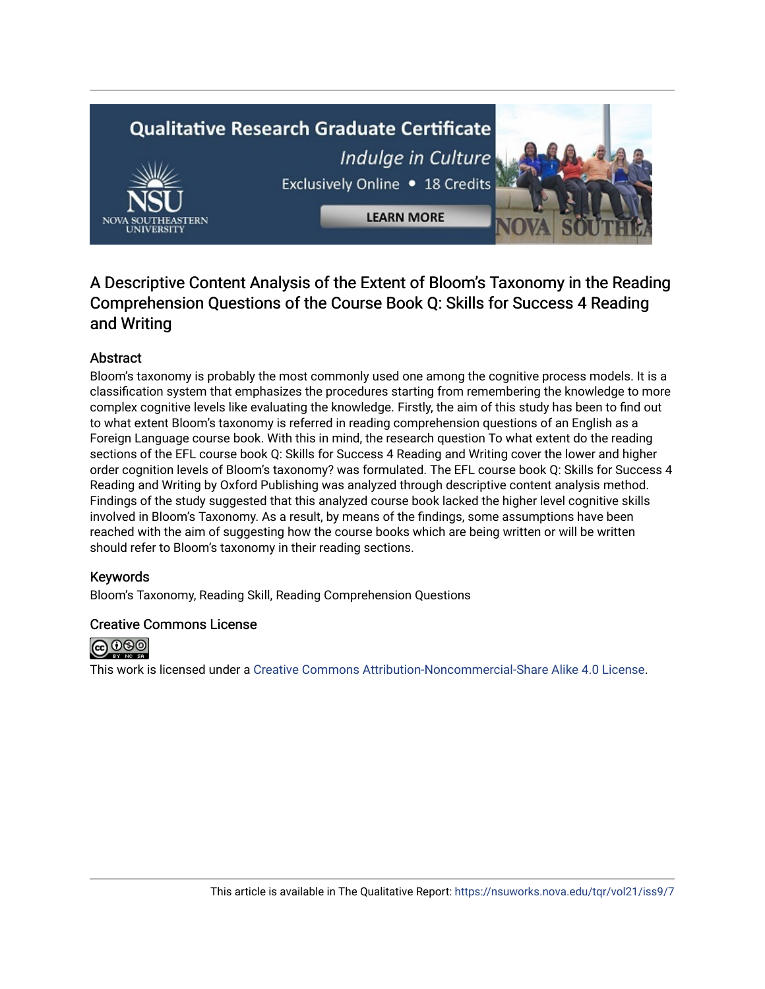# **Qualitative Research Graduate Certificate** Indulge in Culture Exclusively Online . 18 Credits



# A Descriptive Content Analysis of the Extent of Bloom's Taxonomy in the Reading Comprehension Questions of the Course Book Q: Skills for Success 4 Reading and Writing

# Abstract

Bloom's taxonomy is probably the most commonly used one among the cognitive process models. It is a classification system that emphasizes the procedures starting from remembering the knowledge to more complex cognitive levels like evaluating the knowledge. Firstly, the aim of this study has been to find out to what extent Bloom's taxonomy is referred in reading comprehension questions of an English as a Foreign Language course book. With this in mind, the research question To what extent do the reading sections of the EFL course book Q: Skills for Success 4 Reading and Writing cover the lower and higher order cognition levels of Bloom's taxonomy? was formulated. The EFL course book Q: Skills for Success 4 Reading and Writing by Oxford Publishing was analyzed through descriptive content analysis method. Findings of the study suggested that this analyzed course book lacked the higher level cognitive skills involved in Bloom's Taxonomy. As a result, by means of the findings, some assumptions have been reached with the aim of suggesting how the course books which are being written or will be written should refer to Bloom's taxonomy in their reading sections.

# Keywords

Bloom's Taxonomy, Reading Skill, Reading Comprehension Questions

## Creative Commons License



This work is licensed under a [Creative Commons Attribution-Noncommercial-Share Alike 4.0 License](https://creativecommons.org/licenses/by-nc-sa/4.0/).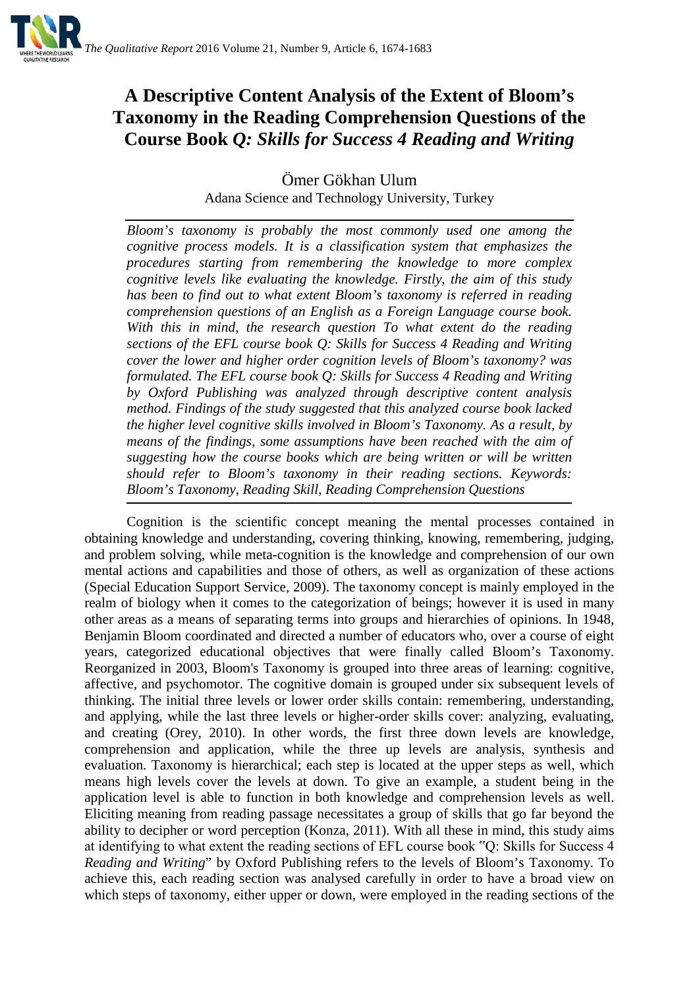

# **A Descriptive Content Analysis of the Extent of Bloom's Taxonomy in the Reading Comprehension Questions of the Course Book** *Q: Skills for Success 4 Reading and Writing*

Ömer Gökhan Ulum Adana Science and Technology University, Turkey

*Bloom's taxonomy is probably the most commonly used one among the cognitive process models. It is a classification system that emphasizes the procedures starting from remembering the knowledge to more complex cognitive levels like evaluating the knowledge. Firstly, the aim of this study has been to find out to what extent Bloom's taxonomy is referred in reading comprehension questions of an English as a Foreign Language course book. With this in mind, the research question To what extent do the reading sections of the EFL course book Q: Skills for Success 4 Reading and Writing cover the lower and higher order cognition levels of Bloom's taxonomy? was formulated. The EFL course book Q: Skills for Success 4 Reading and Writing by Oxford Publishing was analyzed through descriptive content analysis method. Findings of the study suggested that this analyzed course book lacked the higher level cognitive skills involved in Bloom's Taxonomy. As a result, by means of the findings, some assumptions have been reached with the aim of suggesting how the course books which are being written or will be written should refer to Bloom's taxonomy in their reading sections. Keywords: Bloom's Taxonomy, Reading Skill, Reading Comprehension Questions*

Cognition is the scientific concept meaning the mental processes contained in obtaining knowledge and understanding, covering thinking, knowing, remembering, judging, and problem solving, while meta-cognition is the knowledge and comprehension of our own mental actions and capabilities and those of others, as well as organization of these actions (Special Education Support Service, 2009). The taxonomy concept is mainly employed in the realm of biology when it comes to the categorization of beings; however it is used in many other areas as a means of separating terms into groups and hierarchies of opinions. In 1948, Benjamin Bloom coordinated and directed a number of educators who, over a course of eight years, categorized educational objectives that were finally called Bloom's Taxonomy. Reorganized in 2003, Bloom's Taxonomy is grouped into three areas of learning: cognitive, affective, and psychomotor. The cognitive domain is grouped under six subsequent levels of thinking. The initial three levels or lower order skills contain: remembering, understanding, and applying, while the last three levels or higher-order skills cover: analyzing, evaluating, and creating (Orey, 2010). In other words, the first three down levels are knowledge, comprehension and application, while the three up levels are analysis, synthesis and evaluation. Taxonomy is hierarchical; each step is located at the upper steps as well, which means high levels cover the levels at down. To give an example, a student being in the application level is able to function in both knowledge and comprehension levels as well. Eliciting meaning from reading passage necessitates a group of skills that go far beyond the ability to decipher or word perception (Konza, 2011). With all these in mind, this study aims at identifying to what extent the reading sections of EFL course book "Q: Skills for Success 4 *Reading and Writing*" by Oxford Publishing refers to the levels of Bloom's Taxonomy. To achieve this, each reading section was analysed carefully in order to have a broad view on which steps of taxonomy, either upper or down, were employed in the reading sections of the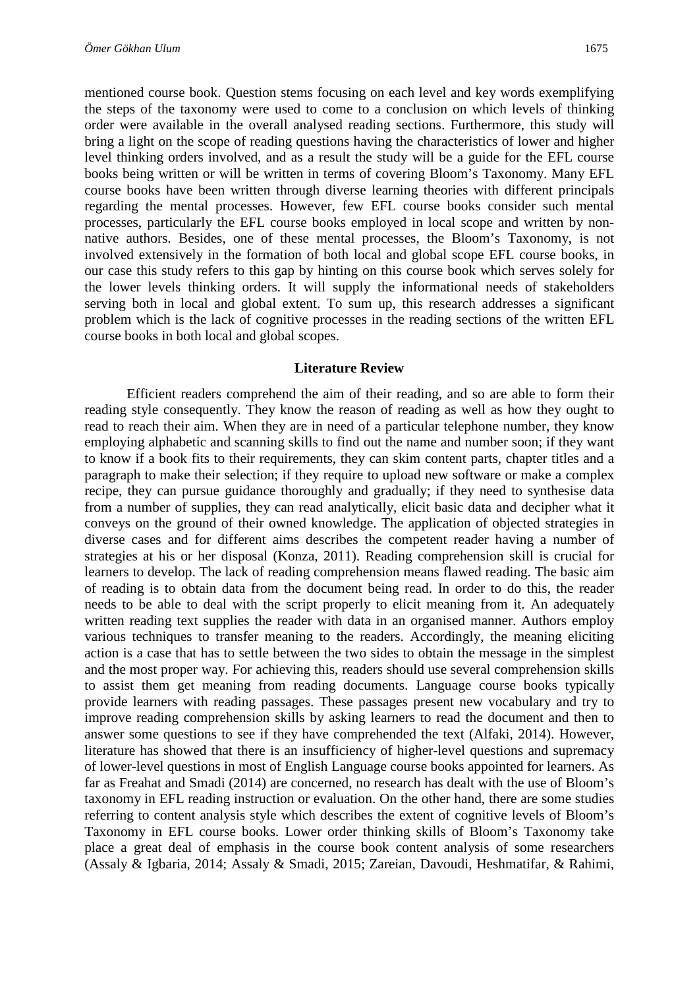mentioned course book. Question stems focusing on each level and key words exemplifying the steps of the taxonomy were used to come to a conclusion on which levels of thinking order were available in the overall analysed reading sections. Furthermore, this study will bring a light on the scope of reading questions having the characteristics of lower and higher

level thinking orders involved, and as a result the study will be a guide for the EFL course books being written or will be written in terms of covering Bloom's Taxonomy. Many EFL course books have been written through diverse learning theories with different principals regarding the mental processes. However, few EFL course books consider such mental processes, particularly the EFL course books employed in local scope and written by nonnative authors. Besides, one of these mental processes, the Bloom's Taxonomy, is not involved extensively in the formation of both local and global scope EFL course books, in our case this study refers to this gap by hinting on this course book which serves solely for the lower levels thinking orders. It will supply the informational needs of stakeholders serving both in local and global extent. To sum up, this research addresses a significant problem which is the lack of cognitive processes in the reading sections of the written EFL course books in both local and global scopes.

#### **Literature Review**

Efficient readers comprehend the aim of their reading, and so are able to form their reading style consequently. They know the reason of reading as well as how they ought to read to reach their aim. When they are in need of a particular telephone number, they know employing alphabetic and scanning skills to find out the name and number soon; if they want to know if a book fits to their requirements, they can skim content parts, chapter titles and a paragraph to make their selection; if they require to upload new software or make a complex recipe, they can pursue guidance thoroughly and gradually; if they need to synthesise data from a number of supplies, they can read analytically, elicit basic data and decipher what it conveys on the ground of their owned knowledge. The application of objected strategies in diverse cases and for different aims describes the competent reader having a number of strategies at his or her disposal (Konza, 2011). Reading comprehension skill is crucial for learners to develop. The lack of reading comprehension means flawed reading. The basic aim of reading is to obtain data from the document being read. In order to do this, the reader needs to be able to deal with the script properly to elicit meaning from it. An adequately written reading text supplies the reader with data in an organised manner. Authors employ various techniques to transfer meaning to the readers. Accordingly, the meaning eliciting action is a case that has to settle between the two sides to obtain the message in the simplest and the most proper way. For achieving this, readers should use several comprehension skills to assist them get meaning from reading documents. Language course books typically provide learners with reading passages. These passages present new vocabulary and try to improve reading comprehension skills by asking learners to read the document and then to answer some questions to see if they have comprehended the text (Alfaki, 2014). However, literature has showed that there is an insufficiency of higher-level questions and supremacy of lower-level questions in most of English Language course books appointed for learners. As far as Freahat and Smadi (2014) are concerned, no research has dealt with the use of Bloom's taxonomy in EFL reading instruction or evaluation. On the other hand, there are some studies referring to content analysis style which describes the extent of cognitive levels of Bloom's Taxonomy in EFL course books. Lower order thinking skills of Bloom's Taxonomy take place a great deal of emphasis in the course book content analysis of some researchers (Assaly & Igbaria, 2014; Assaly & Smadi, 2015; Zareian, Davoudi, Heshmatifar, & Rahimi,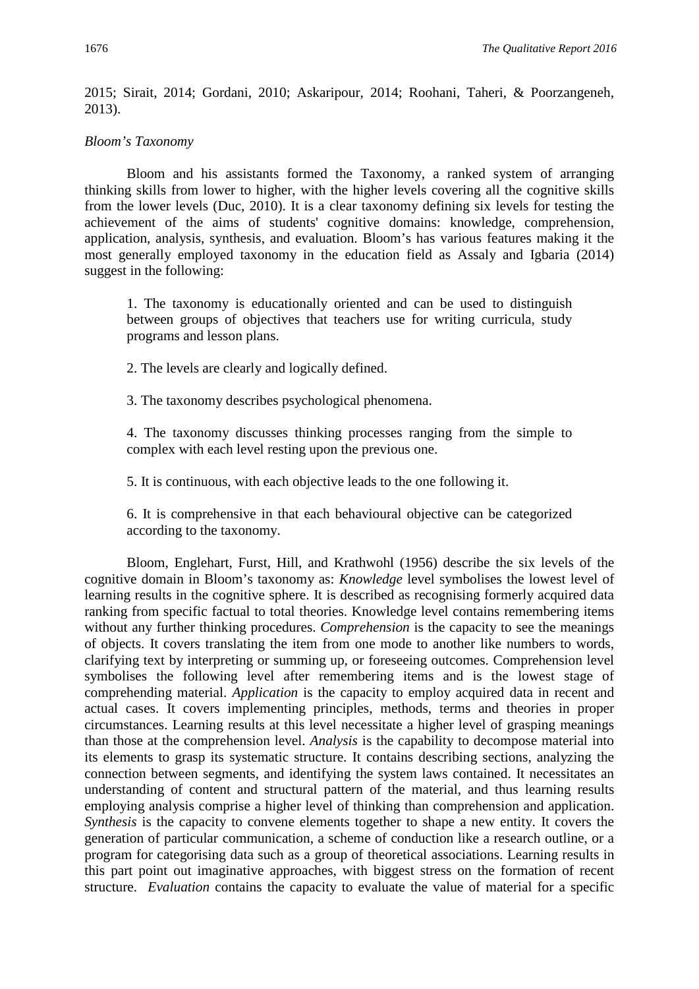2015; Sirait, 2014; Gordani, 2010; Askaripour, 2014; Roohani, Taheri, & Poorzangeneh, 2013).

#### *Bloom's Taxonomy*

Bloom and his assistants formed the Taxonomy, a ranked system of arranging thinking skills from lower to higher, with the higher levels covering all the cognitive skills from the lower levels (Duc, 2010). It is a clear taxonomy defining six levels for testing the achievement of the aims of students' cognitive domains: knowledge, comprehension, application, analysis, synthesis, and evaluation. Bloom's has various features making it the most generally employed taxonomy in the education field as Assaly and Igbaria (2014) suggest in the following:

1. The taxonomy is educationally oriented and can be used to distinguish between groups of objectives that teachers use for writing curricula, study programs and lesson plans.

2. The levels are clearly and logically defined.

3. The taxonomy describes psychological phenomena.

4. The taxonomy discusses thinking processes ranging from the simple to complex with each level resting upon the previous one.

5. It is continuous, with each objective leads to the one following it.

6. It is comprehensive in that each behavioural objective can be categorized according to the taxonomy.

Bloom, Englehart, Furst, Hill, and Krathwohl (1956) describe the six levels of the cognitive domain in Bloom's taxonomy as: *Knowledge* level symbolises the lowest level of learning results in the cognitive sphere. It is described as recognising formerly acquired data ranking from specific factual to total theories. Knowledge level contains remembering items without any further thinking procedures. *Comprehension* is the capacity to see the meanings of objects. It covers translating the item from one mode to another like numbers to words, clarifying text by interpreting or summing up, or foreseeing outcomes. Comprehension level symbolises the following level after remembering items and is the lowest stage of comprehending material. *Application* is the capacity to employ acquired data in recent and actual cases. It covers implementing principles, methods, terms and theories in proper circumstances. Learning results at this level necessitate a higher level of grasping meanings than those at the comprehension level. *Analysis* is the capability to decompose material into its elements to grasp its systematic structure. It contains describing sections, analyzing the connection between segments, and identifying the system laws contained. It necessitates an understanding of content and structural pattern of the material, and thus learning results employing analysis comprise a higher level of thinking than comprehension and application. *Synthesis* is the capacity to convene elements together to shape a new entity. It covers the generation of particular communication, a scheme of conduction like a research outline, or a program for categorising data such as a group of theoretical associations. Learning results in this part point out imaginative approaches, with biggest stress on the formation of recent structure. *Evaluation* contains the capacity to evaluate the value of material for a specific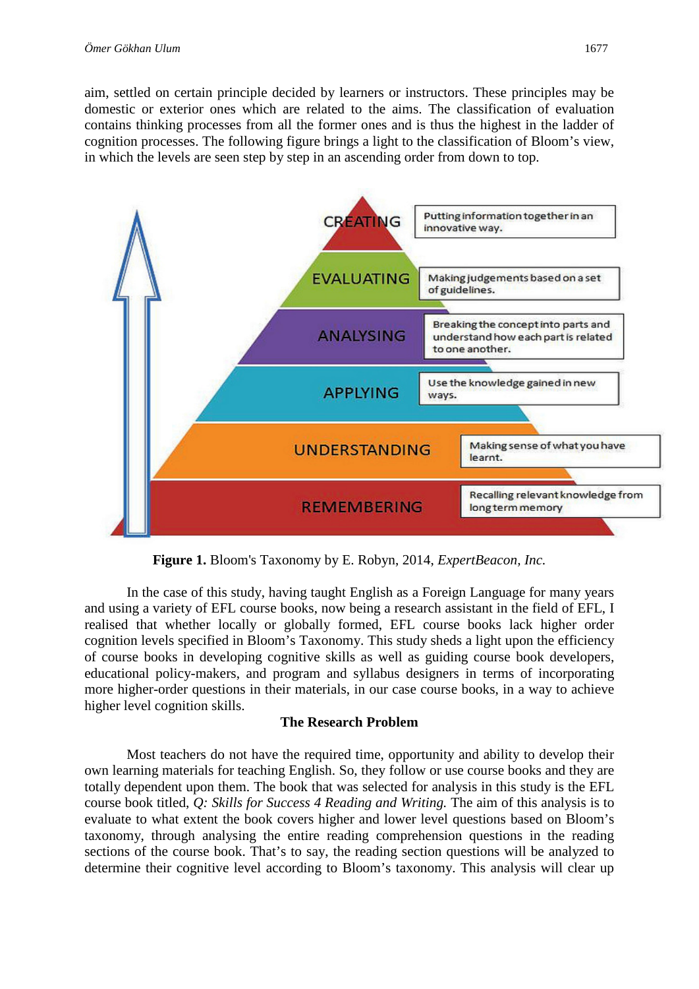aim, settled on certain principle decided by learners or instructors. These principles may be domestic or exterior ones which are related to the aims. The classification of evaluation contains thinking processes from all the former ones and is thus the highest in the ladder of cognition processes. The following figure brings a light to the classification of Bloom's view, in which the levels are seen step by step in an ascending order from down to top.



**Figure 1.** Bloom's Taxonomy by E. Robyn, 2014, *ExpertBeacon, Inc.*

In the case of this study, having taught English as a Foreign Language for many years and using a variety of EFL course books, now being a research assistant in the field of EFL, I realised that whether locally or globally formed, EFL course books lack higher order cognition levels specified in Bloom's Taxonomy. This study sheds a light upon the efficiency of course books in developing cognitive skills as well as guiding course book developers, educational policy-makers, and program and syllabus designers in terms of incorporating more higher-order questions in their materials, in our case course books, in a way to achieve higher level cognition skills.

## **The Research Problem**

Most teachers do not have the required time, opportunity and ability to develop their own learning materials for teaching English. So, they follow or use course books and they are totally dependent upon them. The book that was selected for analysis in this study is the EFL course book titled, *Q: Skills for Success 4 Reading and Writing.* The aim of this analysis is to evaluate to what extent the book covers higher and lower level questions based on Bloom's taxonomy, through analysing the entire reading comprehension questions in the reading sections of the course book. That's to say, the reading section questions will be analyzed to determine their cognitive level according to Bloom's taxonomy. This analysis will clear up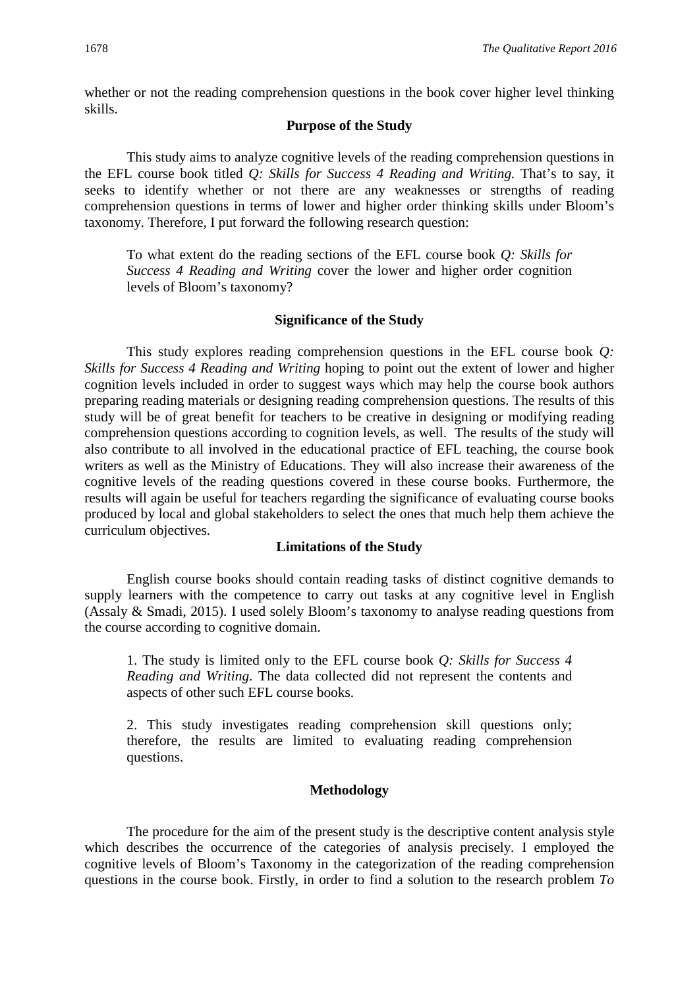whether or not the reading comprehension questions in the book cover higher level thinking skills.

#### **Purpose of the Study**

This study aims to analyze cognitive levels of the reading comprehension questions in the EFL course book titled *Q: Skills for Success 4 Reading and Writing.* That's to say, it seeks to identify whether or not there are any weaknesses or strengths of reading comprehension questions in terms of lower and higher order thinking skills under Bloom's taxonomy. Therefore, I put forward the following research question:

To what extent do the reading sections of the EFL course book *Q: Skills for Success 4 Reading and Writing* cover the lower and higher order cognition levels of Bloom's taxonomy?

#### **Significance of the Study**

This study explores reading comprehension questions in the EFL course book *Q: Skills for Success 4 Reading and Writing* hoping to point out the extent of lower and higher cognition levels included in order to suggest ways which may help the course book authors preparing reading materials or designing reading comprehension questions. The results of this study will be of great benefit for teachers to be creative in designing or modifying reading comprehension questions according to cognition levels, as well. The results of the study will also contribute to all involved in the educational practice of EFL teaching, the course book writers as well as the Ministry of Educations. They will also increase their awareness of the cognitive levels of the reading questions covered in these course books. Furthermore, the results will again be useful for teachers regarding the significance of evaluating course books produced by local and global stakeholders to select the ones that much help them achieve the curriculum objectives.

#### **Limitations of the Study**

English course books should contain reading tasks of distinct cognitive demands to supply learners with the competence to carry out tasks at any cognitive level in English (Assaly & Smadi, 2015). I used solely Bloom's taxonomy to analyse reading questions from the course according to cognitive domain.

1. The study is limited only to the EFL course book *Q: Skills for Success 4 Reading and Writing*. The data collected did not represent the contents and aspects of other such EFL course books.

2. This study investigates reading comprehension skill questions only; therefore, the results are limited to evaluating reading comprehension questions.

#### **Methodology**

The procedure for the aim of the present study is the descriptive content analysis style which describes the occurrence of the categories of analysis precisely. I employed the cognitive levels of Bloom's Taxonomy in the categorization of the reading comprehension questions in the course book. Firstly, in order to find a solution to the research problem *To*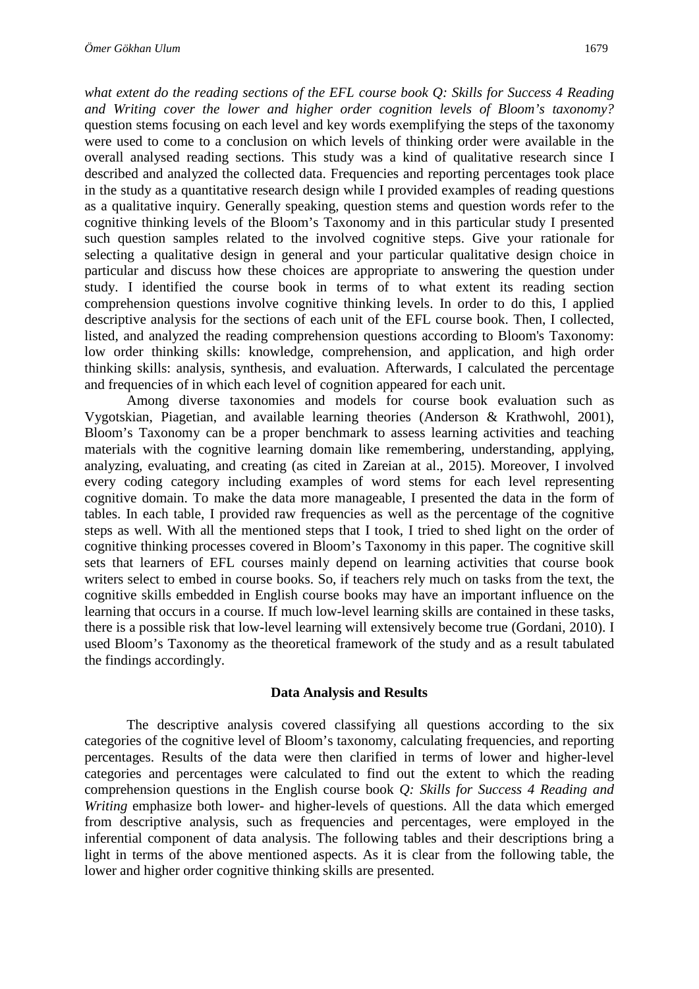*what extent do the reading sections of the EFL course book Q: Skills for Success 4 Reading and Writing cover the lower and higher order cognition levels of Bloom's taxonomy?* question stems focusing on each level and key words exemplifying the steps of the taxonomy were used to come to a conclusion on which levels of thinking order were available in the overall analysed reading sections. This study was a kind of qualitative research since I described and analyzed the collected data. Frequencies and reporting percentages took place in the study as a quantitative research design while I provided examples of reading questions as a qualitative inquiry. Generally speaking, question stems and question words refer to the cognitive thinking levels of the Bloom's Taxonomy and in this particular study I presented such question samples related to the involved cognitive steps. Give your rationale for selecting a qualitative design in general and your particular qualitative design choice in particular and discuss how these choices are appropriate to answering the question under study. I identified the course book in terms of to what extent its reading section comprehension questions involve cognitive thinking levels. In order to do this, I applied descriptive analysis for the sections of each unit of the EFL course book. Then, I collected, listed, and analyzed the reading comprehension questions according to Bloom's Taxonomy: low order thinking skills: knowledge, comprehension, and application, and high order

and frequencies of in which each level of cognition appeared for each unit. Among diverse taxonomies and models for course book evaluation such as Vygotskian, Piagetian, and available learning theories (Anderson & Krathwohl, 2001), Bloom's Taxonomy can be a proper benchmark to assess learning activities and teaching materials with the cognitive learning domain like remembering, understanding, applying, analyzing, evaluating, and creating (as cited in Zareian at al., 2015). Moreover, I involved every coding category including examples of word stems for each level representing cognitive domain. To make the data more manageable, I presented the data in the form of tables. In each table, I provided raw frequencies as well as the percentage of the cognitive steps as well. With all the mentioned steps that I took, I tried to shed light on the order of cognitive thinking processes covered in Bloom's Taxonomy in this paper. The cognitive skill sets that learners of EFL courses mainly depend on learning activities that course book writers select to embed in course books. So, if teachers rely much on tasks from the text, the cognitive skills embedded in English course books may have an important influence on the learning that occurs in a course. If much low-level learning skills are contained in these tasks, there is a possible risk that low-level learning will extensively become true (Gordani, 2010). I used Bloom's Taxonomy as the theoretical framework of the study and as a result tabulated the findings accordingly.

thinking skills: analysis, synthesis, and evaluation. Afterwards, I calculated the percentage

#### **Data Analysis and Results**

The descriptive analysis covered classifying all questions according to the six categories of the cognitive level of Bloom's taxonomy, calculating frequencies, and reporting percentages. Results of the data were then clarified in terms of lower and higher-level categories and percentages were calculated to find out the extent to which the reading comprehension questions in the English course book *Q: Skills for Success 4 Reading and Writing* emphasize both lower- and higher-levels of questions. All the data which emerged from descriptive analysis, such as frequencies and percentages, were employed in the inferential component of data analysis. The following tables and their descriptions bring a light in terms of the above mentioned aspects. As it is clear from the following table, the lower and higher order cognitive thinking skills are presented.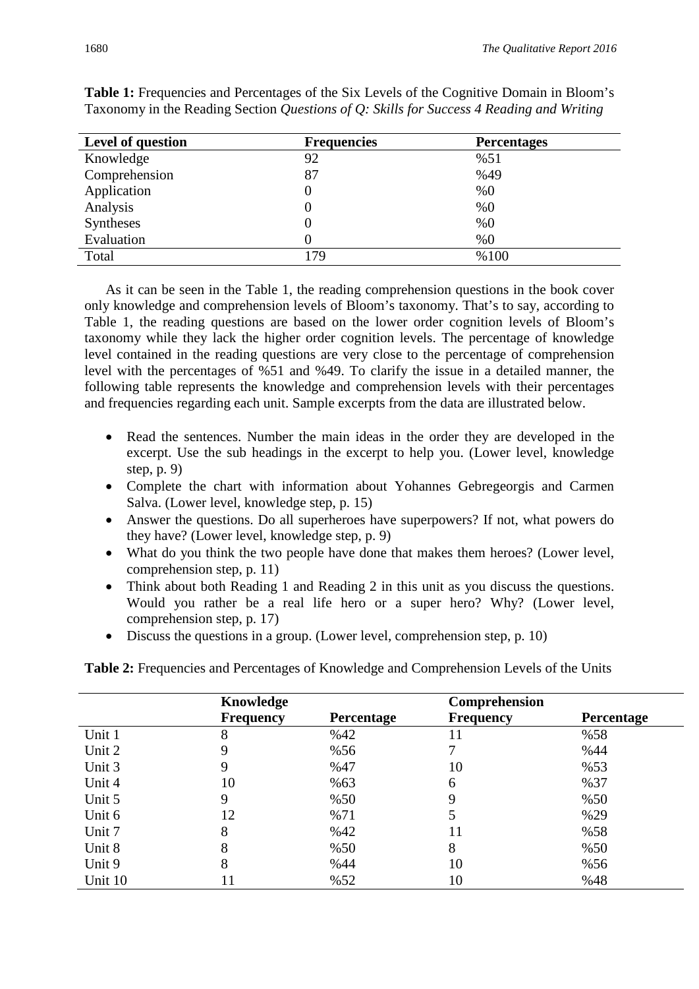| Level of question | <b>Frequencies</b> | <b>Percentages</b> |
|-------------------|--------------------|--------------------|
| Knowledge         | 92                 | %51                |
| Comprehension     | 87                 | %49                |
| Application       |                    | %0                 |
| Analysis          |                    | %0                 |
| <b>Syntheses</b>  |                    | %0                 |
| Evaluation        |                    | %0                 |
| Total             | 179                | %100               |

Table 1: Frequencies and Percentages of the Six Levels of the Cognitive Domain in Bloom's Taxonomy in the Reading Section *Questions of Q: Skills for Success 4 Reading and Writing*

As it can be seen in the Table 1, the reading comprehension questions in the book cover only knowledge and comprehension levels of Bloom's taxonomy. That's to say, according to Table 1, the reading questions are based on the lower order cognition levels of Bloom's taxonomy while they lack the higher order cognition levels. The percentage of knowledge level contained in the reading questions are very close to the percentage of comprehension level with the percentages of %51 and %49. To clarify the issue in a detailed manner, the following table represents the knowledge and comprehension levels with their percentages and frequencies regarding each unit. Sample excerpts from the data are illustrated below.

- Read the sentences. Number the main ideas in the order they are developed in the excerpt. Use the sub headings in the excerpt to help you. (Lower level, knowledge step, p. 9)
- Complete the chart with information about Yohannes Gebregeorgis and Carmen Salva. (Lower level, knowledge step, p. 15)
- Answer the questions. Do all superheroes have superpowers? If not, what powers do they have? (Lower level, knowledge step, p. 9)
- What do you think the two people have done that makes them heroes? (Lower level, comprehension step, p. 11)
- Think about both Reading 1 and Reading 2 in this unit as you discuss the questions. Would you rather be a real life hero or a super hero? Why? (Lower level, comprehension step, p. 17)
- Discuss the questions in a group. (Lower level, comprehension step, p. 10)

**Table 2:** Frequencies and Percentages of Knowledge and Comprehension Levels of the Units

|         | Knowledge        |            | Comprehension    |                   |
|---------|------------------|------------|------------------|-------------------|
|         | <b>Frequency</b> | Percentage | <b>Frequency</b> | <b>Percentage</b> |
| Unit 1  | 8                | %42        | 11               | %58               |
| Unit 2  | 9                | %56        |                  | %44               |
| Unit 3  | 9                | %47        | 10               | %53               |
| Unit 4  | 10               | %63        | 6                | %37               |
| Unit 5  | 9                | %50        | 9                | %50               |
| Unit 6  | 12               | %71        |                  | %29               |
| Unit 7  | 8                | %42        | 11               | %58               |
| Unit 8  | 8                | %50        | 8                | %50               |
| Unit 9  | 8                | %44        | 10               | %56               |
| Unit 10 | 11               | %52        | 10               | %48               |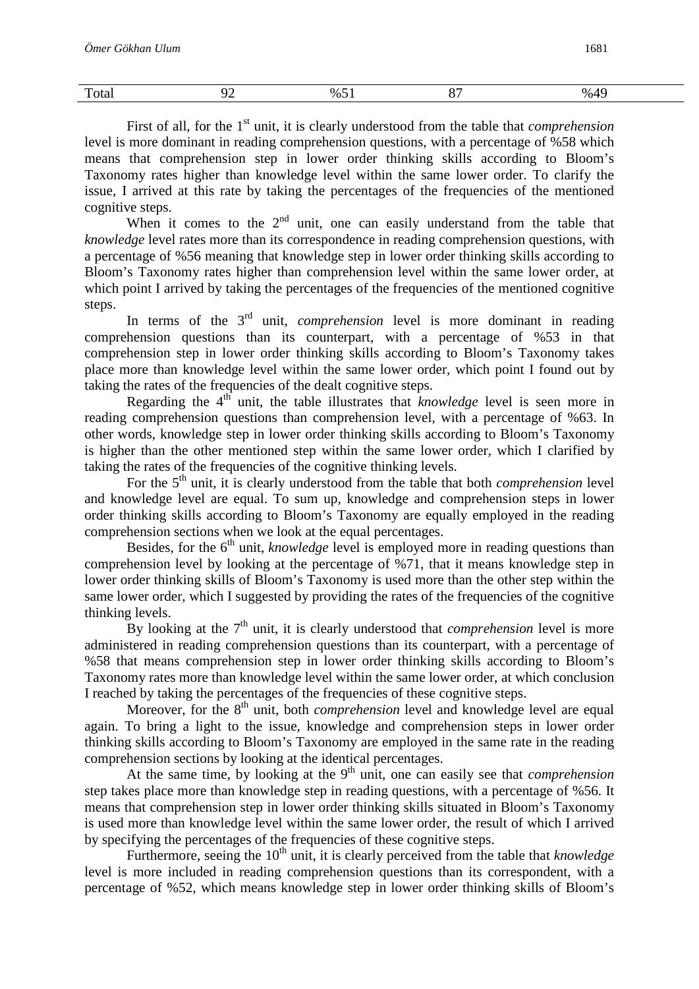| m<br>Total | $\lambda$ | $\%5.$<br>$ -$ | $\sim$ $\sim$<br>ັ | $\Lambda$<br>$\%$ .<br>. . |
|------------|-----------|----------------|--------------------|----------------------------|
|------------|-----------|----------------|--------------------|----------------------------|

First of all, for the 1<sup>st</sup> unit, it is clearly understood from the table that *comprehension* level is more dominant in reading comprehension questions, with a percentage of %58 which means that comprehension step in lower order thinking skills according to Bloom's Taxonomy rates higher than knowledge level within the same lower order. To clarify the issue, I arrived at this rate by taking the percentages of the frequencies of the mentioned cognitive steps.

When it comes to the  $2<sup>nd</sup>$  unit, one can easily understand from the table that *knowledge* level rates more than its correspondence in reading comprehension questions, with a percentage of %56 meaning that knowledge step in lower order thinking skills according to Bloom's Taxonomy rates higher than comprehension level within the same lower order, at which point I arrived by taking the percentages of the frequencies of the mentioned cognitive steps.

In terms of the 3<sup>rd</sup> unit, *comprehension* level is more dominant in reading comprehension questions than its counterpart, with a percentage of %53 in that comprehension step in lower order thinking skills according to Bloom's Taxonomy takes place more than knowledge level within the same lower order, which point I found out by taking the rates of the frequencies of the dealt cognitive steps.

Regarding the 4<sup>th</sup> unit, the table illustrates that *knowledge* level is seen more in reading comprehension questions than comprehension level, with a percentage of %63. In other words, knowledge step in lower order thinking skills according to Bloom's Taxonomy is higher than the other mentioned step within the same lower order, which I clarified by taking the rates of the frequencies of the cognitive thinking levels.

For the 5<sup>th</sup> unit, it is clearly understood from the table that both *comprehension* level and knowledge level are equal. To sum up, knowledge and comprehension steps in lower order thinking skills according to Bloom's Taxonomy are equally employed in the reading comprehension sections when we look at the equal percentages.

Besides, for the 6<sup>th</sup> unit, *knowledge* level is employed more in reading questions than comprehension level by looking at the percentage of %71, that it means knowledge step in lower order thinking skills of Bloom's Taxonomy is used more than the other step within the same lower order, which I suggested by providing the rates of the frequencies of the cognitive thinking levels.

By looking at the  $7<sup>th</sup>$  unit, it is clearly understood that *comprehension* level is more administered in reading comprehension questions than its counterpart, with a percentage of %58 that means comprehension step in lower order thinking skills according to Bloom's Taxonomy rates more than knowledge level within the same lower order, at which conclusion I reached by taking the percentages of the frequencies of these cognitive steps.

Moreover, for the 8<sup>th</sup> unit, both *comprehension* level and knowledge level are equal again. To bring a light to the issue, knowledge and comprehension steps in lower order thinking skills according to Bloom's Taxonomy are employed in the same rate in the reading comprehension sections by looking at the identical percentages.

At the same time, by looking at the 9<sup>th</sup> unit, one can easily see that *comprehension* step takes place more than knowledge step in reading questions, with a percentage of %56. It means that comprehension step in lower order thinking skills situated in Bloom's Taxonomy is used more than knowledge level within the same lower order, the result of which I arrived by specifying the percentages of the frequencies of these cognitive steps.

Furthermore, seeing the 10<sup>th</sup> unit, it is clearly perceived from the table that *knowledge* level is more included in reading comprehension questions than its correspondent, with a percentage of %52, which means knowledge step in lower order thinking skills of Bloom's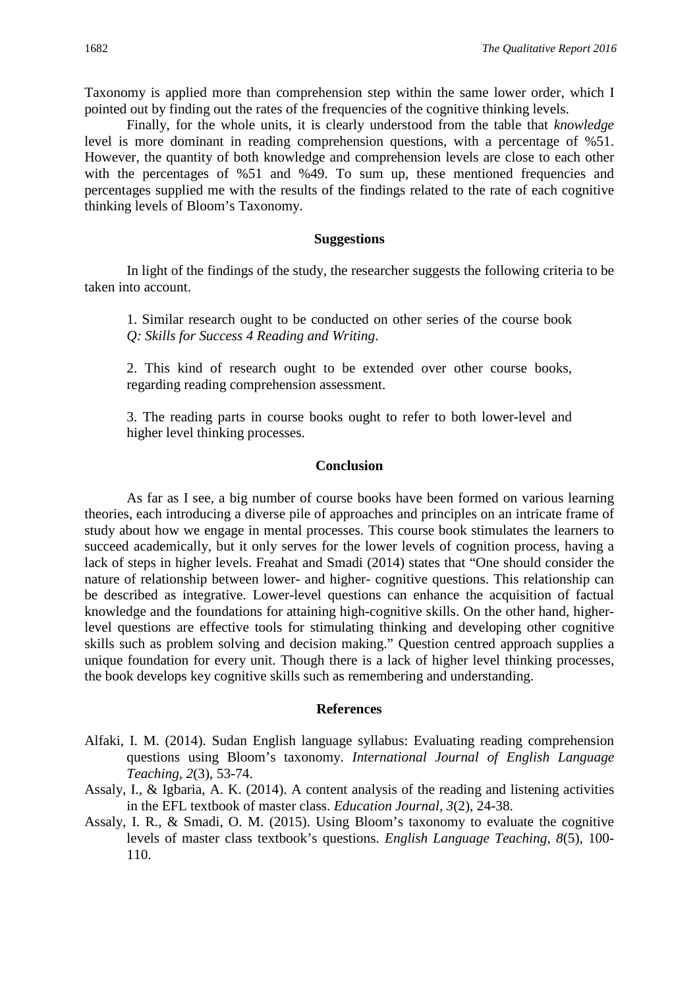Taxonomy is applied more than comprehension step within the same lower order, which I pointed out by finding out the rates of the frequencies of the cognitive thinking levels.

Finally, for the whole units, it is clearly understood from the table that *knowledge* level is more dominant in reading comprehension questions, with a percentage of %51. However, the quantity of both knowledge and comprehension levels are close to each other with the percentages of %51 and %49. To sum up, these mentioned frequencies and percentages supplied me with the results of the findings related to the rate of each cognitive thinking levels of Bloom's Taxonomy.

### **Suggestions**

In light of the findings of the study, the researcher suggests the following criteria to be taken into account.

1. Similar research ought to be conducted on other series of the course book *Q: Skills for Success 4 Reading and Writing*.

2. This kind of research ought to be extended over other course books, regarding reading comprehension assessment.

3. The reading parts in course books ought to refer to both lower-level and higher level thinking processes.

#### **Conclusion**

As far as I see, a big number of course books have been formed on various learning theories, each introducing a diverse pile of approaches and principles on an intricate frame of study about how we engage in mental processes. This course book stimulates the learners to succeed academically, but it only serves for the lower levels of cognition process, having a lack of steps in higher levels. Freahat and Smadi (2014) states that "One should consider the nature of relationship between lower- and higher- cognitive questions. This relationship can be described as integrative. Lower-level questions can enhance the acquisition of factual knowledge and the foundations for attaining high-cognitive skills. On the other hand, higherlevel questions are effective tools for stimulating thinking and developing other cognitive skills such as problem solving and decision making." Question centred approach supplies a unique foundation for every unit. Though there is a lack of higher level thinking processes, the book develops key cognitive skills such as remembering and understanding.

#### **References**

- Alfaki, I. M. (2014). Sudan English language syllabus: Evaluating reading comprehension questions using Bloom's taxonomy. *International Journal of English Language Teaching, 2*(3), 53-74.
- Assaly, I., & Igbaria, A. K. (2014). A content analysis of the reading and listening activities in the EFL textbook of master class. *Education Journal, 3*(2), 24-38.
- Assaly, I. R., & Smadi, O. M. (2015). Using Bloom's taxonomy to evaluate the cognitive levels of master class textbook's questions. *English Language Teaching, 8*(5), 100- 110.